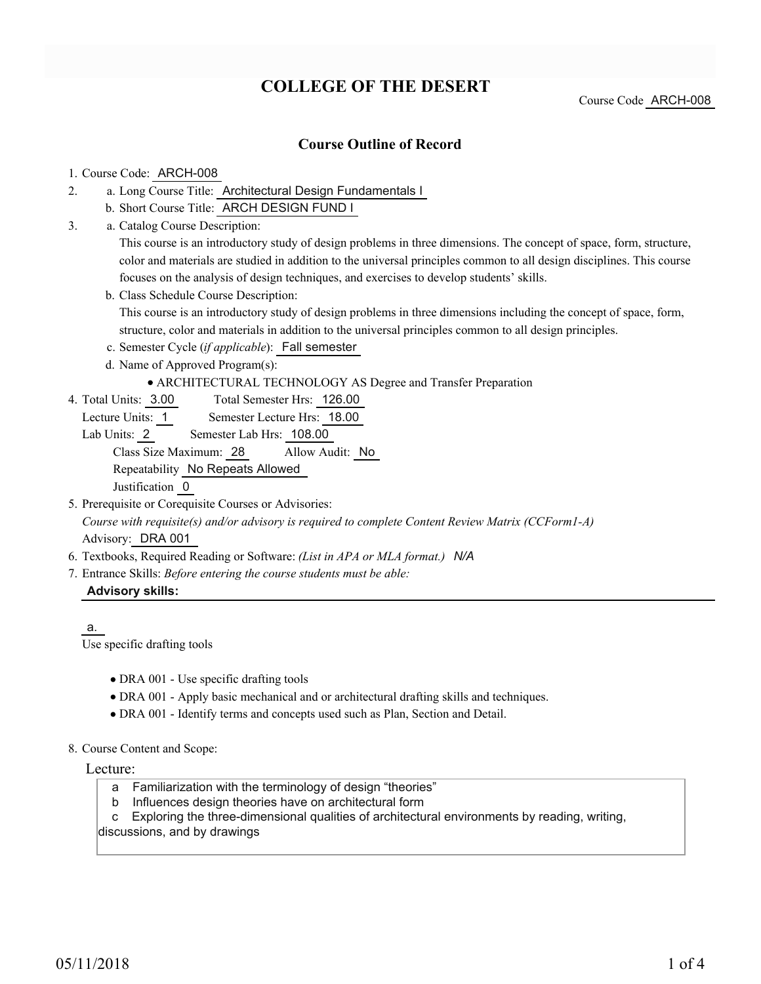## **COLLEGE OF THE DESERT**

#### Course Code ARCH-008

### **Course Outline of Record**

#### 1. Course Code: ARCH-008

- a. Long Course Title: Architectural Design Fundamentals I 2.
	- b. Short Course Title: ARCH DESIGN FUND I
- Catalog Course Description: a. 3.

This course is an introductory study of design problems in three dimensions. The concept of space, form, structure, color and materials are studied in addition to the universal principles common to all design disciplines. This course focuses on the analysis of design techniques, and exercises to develop students' skills.

b. Class Schedule Course Description:

This course is an introductory study of design problems in three dimensions including the concept of space, form, structure, color and materials in addition to the universal principles common to all design principles.

- c. Semester Cycle (*if applicable*): Fall semester
- d. Name of Approved Program(s):

#### ARCHITECTURAL TECHNOLOGY AS Degree and Transfer Preparation

- Total Semester Hrs: 126.00 4. Total Units: 3.00
	- Lecture Units: 1 Semester Lecture Hrs: 18.00
	- Lab Units: 2 Semester Lab Hrs: 108.00 Class Size Maximum: 28 Allow Audit: No

Repeatability No Repeats Allowed

Justification 0

- 5. Prerequisite or Corequisite Courses or Advisories: *Course with requisite(s) and/or advisory is required to complete Content Review Matrix (CCForm1-A)* Advisory: DRA 001
- 6. Textbooks, Required Reading or Software: *(List in APA or MLA format.) N/A*
- Entrance Skills: *Before entering the course students must be able:* 7.

#### **Advisory skills:**

a.

Use specific drafting tools

- DRA 001 Use specific drafting tools
- DRA 001 Apply basic mechanical and or architectural drafting skills and techniques.
- DRA 001 Identify terms and concepts used such as Plan, Section and Detail.
- 8. Course Content and Scope:

Lecture:

- a Familiarization with the terminology of design "theories"
- b Influences design theories have on architectural form

 c Exploring the three-dimensional qualities of architectural environments by reading, writing, discussions, and by drawings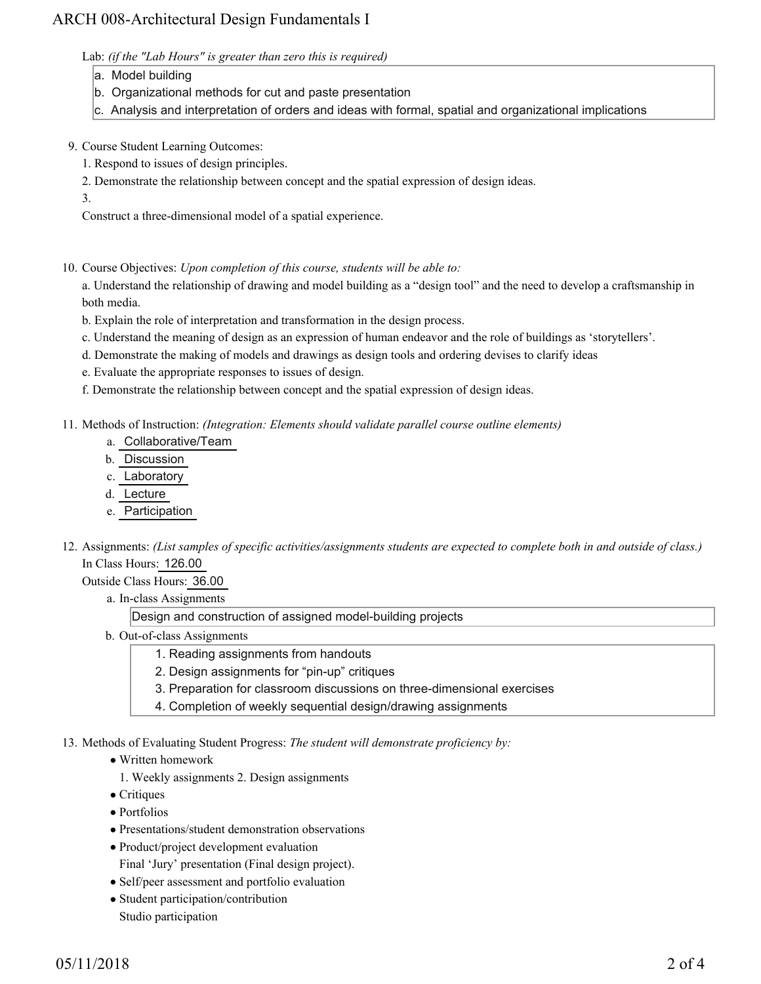## ARCH 008-Architectural Design Fundamentals I

Lab: *(if the "Lab Hours" is greater than zero this is required)*

- a. Model building
- b. Organizational methods for cut and paste presentation
- c. Analysis and interpretation of orders and ideas with formal, spatial and organizational implications
- 9. Course Student Learning Outcomes:
	- 1. Respond to issues of design principles.
	- 2. Demonstrate the relationship between concept and the spatial expression of design ideas.

3.

Construct a three-dimensional model of a spatial experience.

10. Course Objectives: Upon completion of this course, students will be able to:

a. Understand the relationship of drawing and model building as a "design tool" and the need to develop a craftsmanship in both media.

- b. Explain the role of interpretation and transformation in the design process.
- c. Understand the meaning of design as an expression of human endeavor and the role of buildings as 'storytellers'.
- d. Demonstrate the making of models and drawings as design tools and ordering devises to clarify ideas
- e. Evaluate the appropriate responses to issues of design.
- f. Demonstrate the relationship between concept and the spatial expression of design ideas.
- Methods of Instruction: *(Integration: Elements should validate parallel course outline elements)* 11.
	- a. Collaborative/Team
	- b. Discussion
	- c. Laboratory
	- d. Lecture
	- e. Participation
- 12. Assignments: (List samples of specific activities/assignments students are expected to complete both in and outside of class.) In Class Hours: 126.00

Outside Class Hours: 36.00

a. In-class Assignments

Design and construction of assigned model-building projects

- b. Out-of-class Assignments
	- 1. Reading assignments from handouts
	- 2. Design assignments for "pin-up" critiques
	- 3. Preparation for classroom discussions on three-dimensional exercises
	- 4. Completion of weekly sequential design/drawing assignments
- 13. Methods of Evaluating Student Progress: The student will demonstrate proficiency by:
	- Written homework
		- 1. Weekly assignments 2. Design assignments
	- Critiques
	- Portfolios
	- Presentations/student demonstration observations
	- Product/project development evaluation
	- Final 'Jury' presentation (Final design project).
	- Self/peer assessment and portfolio evaluation
	- Student participation/contribution Studio participation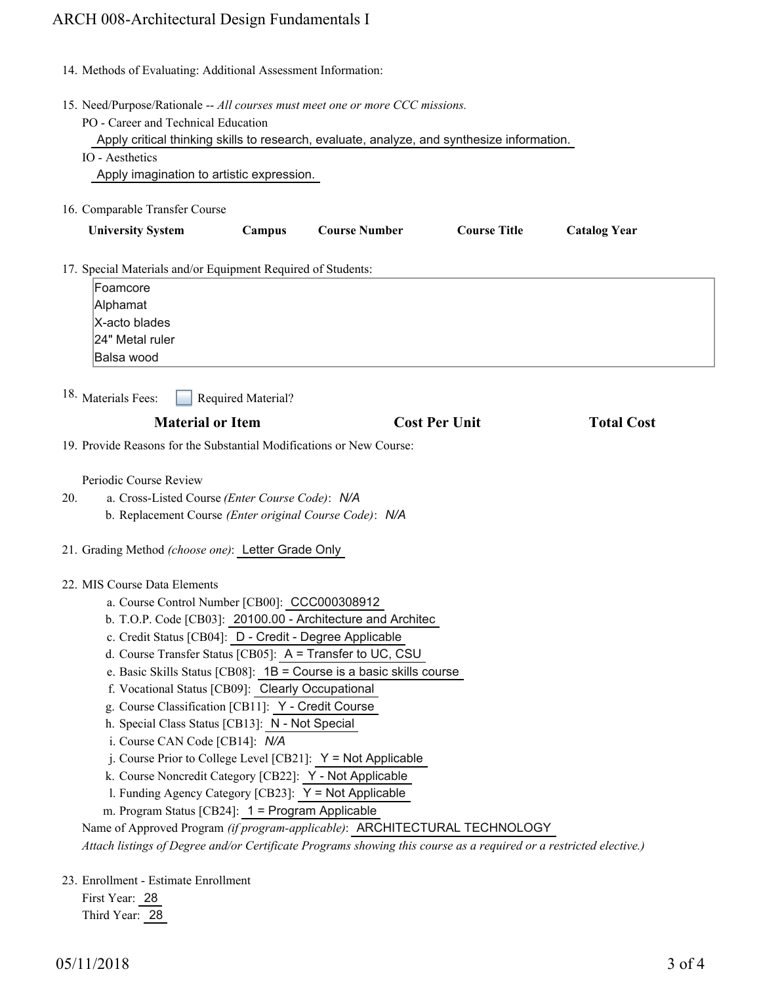# ARCH 008-Architectural Design Fundamentals I

|     | 14. Methods of Evaluating: Additional Assessment Information:                                                                                                                                                                                                                                                                                                                                                                                                                                                                                                                                                                                                                                                                                                                                                                                                                                                                                                                              |
|-----|--------------------------------------------------------------------------------------------------------------------------------------------------------------------------------------------------------------------------------------------------------------------------------------------------------------------------------------------------------------------------------------------------------------------------------------------------------------------------------------------------------------------------------------------------------------------------------------------------------------------------------------------------------------------------------------------------------------------------------------------------------------------------------------------------------------------------------------------------------------------------------------------------------------------------------------------------------------------------------------------|
|     | 15. Need/Purpose/Rationale -- All courses must meet one or more CCC missions.<br>PO - Career and Technical Education<br>Apply critical thinking skills to research, evaluate, analyze, and synthesize information.<br>IO - Aesthetics<br>Apply imagination to artistic expression.                                                                                                                                                                                                                                                                                                                                                                                                                                                                                                                                                                                                                                                                                                         |
|     | 16. Comparable Transfer Course                                                                                                                                                                                                                                                                                                                                                                                                                                                                                                                                                                                                                                                                                                                                                                                                                                                                                                                                                             |
|     | <b>Course Number</b><br><b>Course Title</b><br><b>University System</b><br>Campus<br><b>Catalog Year</b>                                                                                                                                                                                                                                                                                                                                                                                                                                                                                                                                                                                                                                                                                                                                                                                                                                                                                   |
|     | 17. Special Materials and/or Equipment Required of Students:<br>Foamcore<br>Alphamat<br>X-acto blades<br>24" Metal ruler<br>Balsa wood                                                                                                                                                                                                                                                                                                                                                                                                                                                                                                                                                                                                                                                                                                                                                                                                                                                     |
|     | 18. Materials Fees:<br>Required Material?                                                                                                                                                                                                                                                                                                                                                                                                                                                                                                                                                                                                                                                                                                                                                                                                                                                                                                                                                  |
|     | <b>Cost Per Unit</b><br><b>Material or Item</b><br><b>Total Cost</b>                                                                                                                                                                                                                                                                                                                                                                                                                                                                                                                                                                                                                                                                                                                                                                                                                                                                                                                       |
|     | 19. Provide Reasons for the Substantial Modifications or New Course:                                                                                                                                                                                                                                                                                                                                                                                                                                                                                                                                                                                                                                                                                                                                                                                                                                                                                                                       |
| 20. | Periodic Course Review<br>a. Cross-Listed Course (Enter Course Code): N/A<br>b. Replacement Course (Enter original Course Code): N/A                                                                                                                                                                                                                                                                                                                                                                                                                                                                                                                                                                                                                                                                                                                                                                                                                                                       |
|     | 21. Grading Method (choose one): Letter Grade Only                                                                                                                                                                                                                                                                                                                                                                                                                                                                                                                                                                                                                                                                                                                                                                                                                                                                                                                                         |
|     | 22. MIS Course Data Elements<br>a. Course Control Number [CB00]: CCC000308912<br>b. T.O.P. Code [CB03]: 20100.00 - Architecture and Architec<br>c. Credit Status [CB04]: D - Credit - Degree Applicable<br>d. Course Transfer Status [CB05]: A = Transfer to UC, CSU<br>e. Basic Skills Status [CB08]: $1B =$ Course is a basic skills course<br>f. Vocational Status [CB09]: Clearly Occupational<br>g. Course Classification [CB11]: Y - Credit Course<br>h. Special Class Status [CB13]: N - Not Special<br>i. Course CAN Code [CB14]: N/A<br>j. Course Prior to College Level [CB21]: $Y = Not$ Applicable<br>k. Course Noncredit Category [CB22]: Y - Not Applicable<br>1. Funding Agency Category [CB23]: Y = Not Applicable<br>m. Program Status [CB24]: 1 = Program Applicable<br>Name of Approved Program (if program-applicable): ARCHITECTURAL TECHNOLOGY<br>Attach listings of Degree and/or Certificate Programs showing this course as a required or a restricted elective.) |
|     | 23. Enrollment - Estimate Enrollment<br>First Year: 28                                                                                                                                                                                                                                                                                                                                                                                                                                                                                                                                                                                                                                                                                                                                                                                                                                                                                                                                     |

Third Year: 28